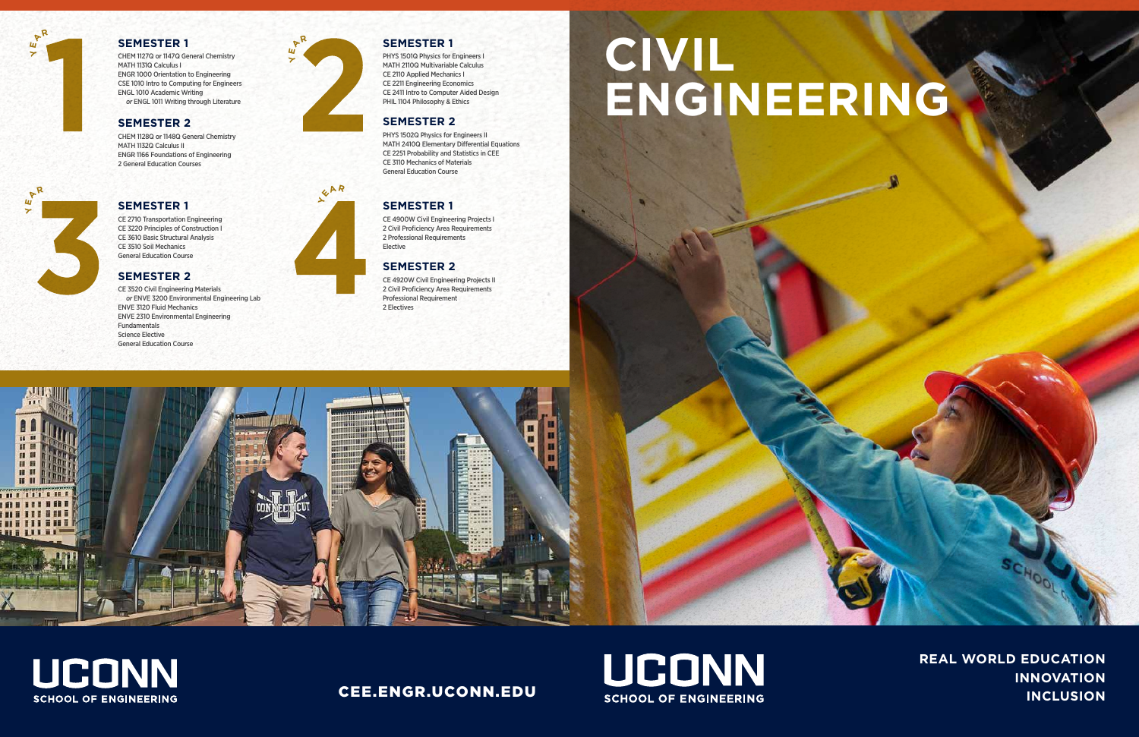**REAL WORLD EDUCATION INNOVATION INCLUSION**

CHEM 1127Q or 1147Q General Chemistry MATH 1131Q Calculus I ENGR 1000 Orientation to Engineering CSE 1010 Intro to Computing for Engineers ENGL 1010 Academic Writing *or* ENGL 1011 Writing through Literature

PHYS 1501Q Physics for Engineers I MATH 2110Q Multivariable Calculus CE 2110 Applied Mechanics I CE 2211 Engineering Economics CE 2411 Intro to Computer Aided Design PHIL 1104 Philosophy & Ethics

CE 2710 Transportation Engineering CE 3220 Principles of Construction I CE 3610 Basic Structural Analysis CE 3510 Soil Mechanics General Education Course

CE 4900W Civil Engineering Projects I 2 Civil Proficiency Area Requirements 2 Professional Requirements Elective

PHYS 1502Q Physics for Engineers II MATH 2410Q Elementary Differential Equations CE 2251 Probability and Statistics in CEE CE 3110 Mechanics of Materials General Education Course

CE 3520 Civil Engineering Materials *or* ENVE 3200 Environmental Engineering Lab ENVE 3120 Fluid Mechanics ENVE 2310 Environmental Engineering Fundamentals Science Elective General Education Course

CE 4920W Civil Engineering Projects II 2 Civil Proficiency Area Requirements Professional Requirement 2 Electives



# **UCONN SCHOOL OF ENGINEERING**

CHEM 1128Q or 1148Q General Chemistry MATH 1132Q Calculus II ENGR 1166 Foundations of Engineering 2 General Education Courses

### **SEMESTER 1**

## **SEMESTER 1**

#### **SEMESTER 2**

#### **SEMESTER 1**

### **SEMESTER 1**

### **SEMESTER 2**



 $Y^{\mathsf{AR}}$ 

**Y E <sup>A</sup><sup>R</sup>**



## CEE.ENGR.UCONN.EDU



# **CIVIL ENGINEERING**